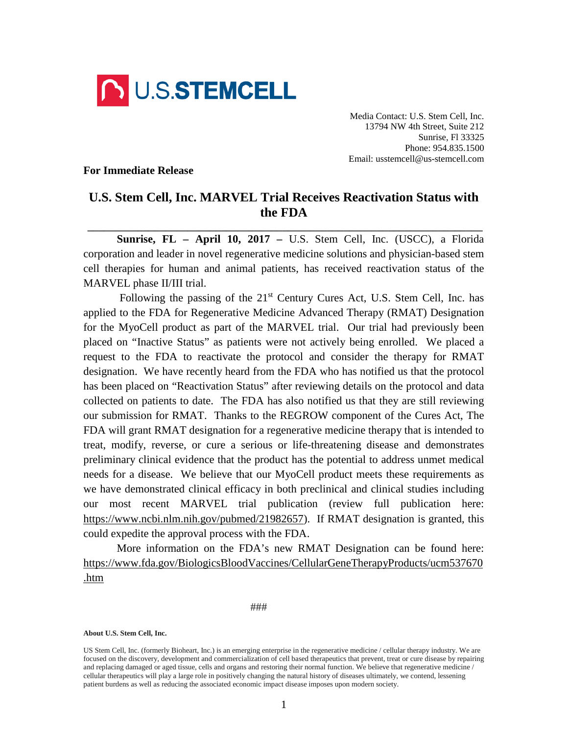

Media Contact: U.S. Stem Cell, Inc. 13794 NW 4th Street, Suite 212 Sunrise, Fl 33325 Phone: 954.835.1500 Email: usstemcell@us-stemcell.com

## **For Immediate Release**

## **U.S. Stem Cell, Inc. MARVEL Trial Receives Reactivation Status with the FDA**

**\_\_\_\_\_\_\_\_\_\_\_\_\_\_\_\_\_\_\_\_\_\_\_\_\_\_\_\_\_\_\_\_\_\_\_\_\_\_\_\_\_\_\_\_\_\_\_\_\_\_\_\_\_\_\_\_\_\_\_\_\_\_\_\_\_\_\_\_\_\_\_**

**Sunrise, FL – April 10, 2017 –** U.S. Stem Cell, Inc. (USCC), a Florida corporation and leader in novel regenerative medicine solutions and physician-based stem cell therapies for human and animal patients, has received reactivation status of the MARVEL phase II/III trial.

Following the passing of the  $21<sup>st</sup>$  Century Cures Act, U.S. Stem Cell, Inc. has applied to the FDA for Regenerative Medicine Advanced Therapy (RMAT) Designation for the MyoCell product as part of the MARVEL trial. Our trial had previously been placed on "Inactive Status" as patients were not actively being enrolled. We placed a request to the FDA to reactivate the protocol and consider the therapy for RMAT designation. We have recently heard from the FDA who has notified us that the protocol has been placed on "Reactivation Status" after reviewing details on the protocol and data collected on patients to date. The FDA has also notified us that they are still reviewing our submission for RMAT. Thanks to the REGROW component of the Cures Act, The FDA will grant RMAT designation for a regenerative medicine therapy that is intended to treat, modify, reverse, or cure a serious or life-threatening disease and demonstrates preliminary clinical evidence that the product has the potential to address unmet medical needs for a disease. We believe that our MyoCell product meets these requirements as we have demonstrated clinical efficacy in both preclinical and clinical studies including our most recent MARVEL trial publication (review full publication here: [https://www.ncbi.nlm.nih.gov/pubmed/21982657\)](https://www.ncbi.nlm.nih.gov/pubmed/21982657). If RMAT designation is granted, this could expedite the approval process with the FDA.

More information on the FDA's new RMAT Designation can be found here: [https://www.fda.gov/BiologicsBloodVaccines/CellularGeneTherapyProducts/ucm537670](https://www.fda.gov/BiologicsBloodVaccines/CellularGeneTherapyProducts/ucm537670.htm) [.htm](https://www.fda.gov/BiologicsBloodVaccines/CellularGeneTherapyProducts/ucm537670.htm)

###

**About U.S. Stem Cell, Inc.**

US Stem Cell, Inc. (formerly Bioheart, Inc.) is an emerging enterprise in the regenerative medicine / cellular therapy industry. We are focused on the discovery, development and commercialization of cell based therapeutics that prevent, treat or cure disease by repairing and replacing damaged or aged tissue, cells and organs and restoring their normal function. We believe that regenerative medicine / cellular therapeutics will play a large role in positively changing the natural history of diseases ultimately, we contend, lessening patient burdens as well as reducing the associated economic impact disease imposes upon modern society.